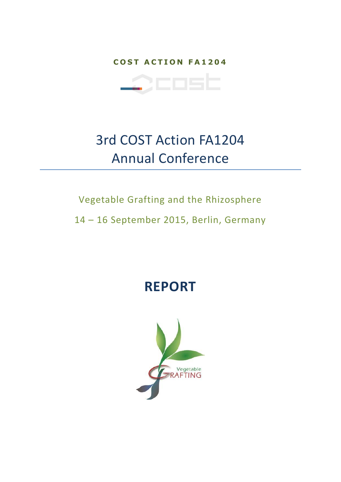**COST ACTION FA1204** 



# 3rd COST Action FA1204 Annual Conference

### Vegetable Grafting and the Rhizosphere

14 – 16 September 2015, Berlin, Germany

## **REPORT**

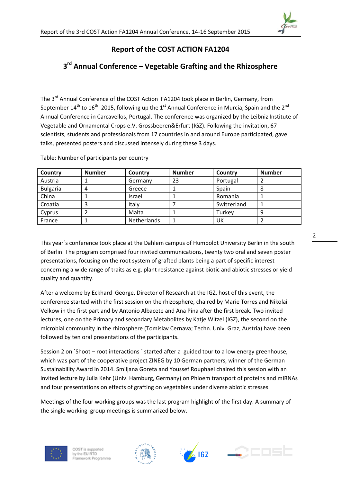

#### **Report of the COST ACTION FA1204**

### **3 rd Annual Conference – Vegetable Grafting and the Rhizosphere**

The 3<sup>rd</sup> Annual Conference of the COST Action FA1204 took place in Berlin, Germany, from September 14<sup>th</sup> to 16<sup>th</sup> 2015, following up the 1<sup>st</sup> Annual Conference in Murcia, Spain and the 2<sup>nd</sup> Annual Conference in Carcavellos, Portugal. The conference was organized by the Leibniz Institute of Vegetable and Ornamental Crops e.V. Grossbeeren&Erfurt (IGZ). Following the invitation, 67 scientists, students and professionals from 17 countries in and around Europe participated, gave talks, presented posters and discussed intensely during these 3 days.

| Country         | <b>Number</b> | Country            | <b>Number</b> | Country     | <b>Number</b> |
|-----------------|---------------|--------------------|---------------|-------------|---------------|
| Austria         |               | Germany            | 23            | Portugal    |               |
| <b>Bulgaria</b> | 4             | Greece             |               | Spain       | 8             |
| China           |               | Israel             |               | Romania     |               |
| Croatia         |               | Italy              |               | Switzerland |               |
| Cyprus          |               | Malta              |               | Turkey      | 9             |
| France          |               | <b>Netherlands</b> |               | UK          |               |

Table: Number of participants per country

This year´s conference took place at the Dahlem campus of Humboldt University Berlin in the south of Berlin. The program comprised four invited communications, twenty two oral and seven poster presentations, focusing on the root system of grafted plants being a part of specific interest concerning a wide range of traits as e.g. plant resistance against biotic and abiotic stresses or yield quality and quantity.

After a welcome by Eckhard George, Director of Research at the IGZ, host of this event, the conference started with the first session on the rhizosphere, chaired by Marie Torres and Nikolai Velkow in the first part and by Antonio Albacete and Ana Pina after the first break. Two invited lectures, one on the Primary and secondary Metabolites by Katje Witzel (IGZ), the second on the microbial community in the rhizosphere (Tomislav Cernava; Techn. Univ. Graz, Austria) have been followed by ten oral presentations of the participants.

Session 2 on `Shoot – root interactions ´ started after a guided tour to a low energy greenhouse, which was part of the cooperative project ZINEG by 10 German partners, winner of the German Sustainability Award in 2014. Smiljana Goreta and Youssef Rouphael chaired this session with an invited lecture by Julia Kehr (Univ. Hamburg, Germany) on Phloem transport of proteins and miRNAs and four presentations on effects of grafting on vegetables under diverse abiotic stresses.

Meetings of the four working groups was the last program highlight of the first day. A summary of the single working group meetings is summarized below.







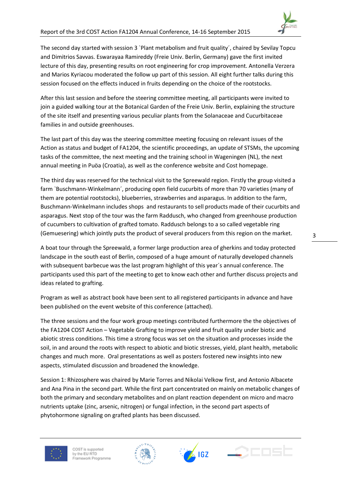

The second day started with session 3 `Plant metabolism and fruit quality´, chaired by Sevilay Topcu and Dimitrios Savvas. Eswarayaa Ramireddy (Freie Univ. Berlin, Germany) gave the first invited lecture of this day, presenting results on root engineering for crop improvement. Antonella Verzera and Marios Kyriacou moderated the follow up part of this session. All eight further talks during this session focused on the effects induced in fruits depending on the choice of the rootstocks.

After this last session and before the steering committee meeting, all participants were invited to join a guided walking tour at the Botanical Garden of the Freie Univ. Berlin, explaining the structure of the site itself and presenting various peculiar plants from the Solanaceae and Cucurbitaceae families in and outside greenhouses.

The last part of this day was the steering committee meeting focusing on relevant issues of the Action as status and budget of FA1204, the scientific proceedings, an update of STSMs, the upcoming tasks of the committee, the next meeting and the training school in Wageningen (NL), the next annual meeting in Puöa (Croatia), as well as the conference website and Cost homepage.

The third day was reserved for the technical visit to the Spreewald region. Firstly the group visited a farm `Buschmann-Winkelmann´, producing open field cucurbits of more than 70 varieties (many of them are potential rootstocks), blueberries, strawberries and asparagus. In addition to the farm, Buschmann-Winkelmann includes shops and restaurants to sell products made of their cucurbits and asparagus. Next stop of the tour was the farm Raddusch, who changed from greenhouse production of cucumbers to cultivation of grafted tomato. Raddusch belongs to a so called vegetable ring (Gemuesering) which jointly puts the product of several producers from this region on the market.

A boat tour through the Spreewald, a former large production area of gherkins and today protected landscape in the south east of Berlin, composed of a huge amount of naturally developed channels with subsequent barbecue was the last program highlight of this year´s annual conference. The participants used this part of the meeting to get to know each other and further discuss projects and ideas related to grafting.

Program as well as abstract book have been sent to all registered participants in advance and have been published on the event website of this conference (attached).

The three sessions and the four work group meetings contributed furthermore the the objectives of the FA1204 COST Action – Vegetable Grafting to improve yield and fruit quality under biotic and abiotic stress conditions. This time a strong focus was set on the situation and processes inside the soil, in and around the roots with respect to abiotic and biotic stresses, yield, plant health, metabolic changes and much more. Oral presentations as well as posters fostered new insights into new aspects, stimulated discussion and broadened the knowledge.

Session 1: Rhizosphere was chaired by Marie Torres and Nikolai Velkow first, and Antonio Albacete and Ana Pina in the second part. While the first part concentrated on mainly on metabolic changes of both the primary and secondary metabolites and on plant reaction dependent on micro and macro nutrients uptake (zinc, arsenic, nitrogen) or fungal infection, in the second part aspects of phytohormone signaling on grafted plants has been discussed.